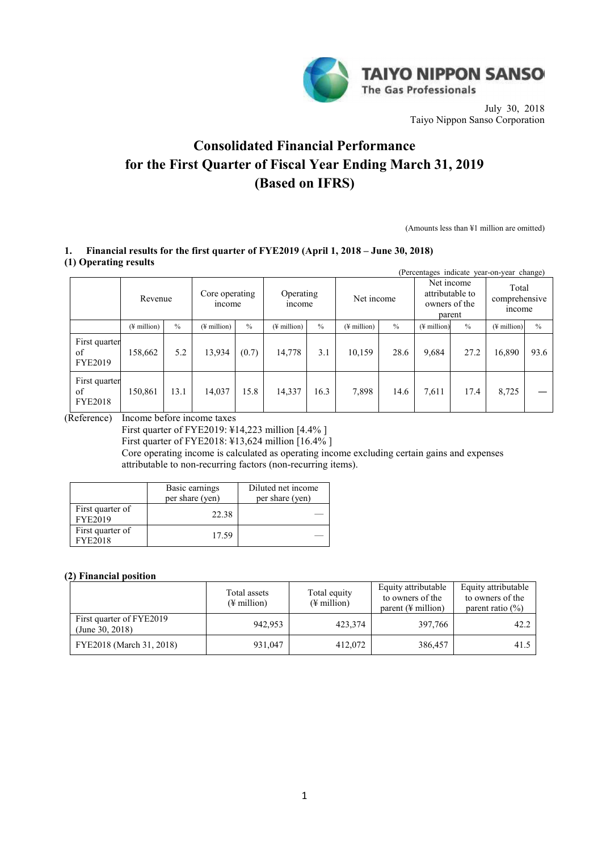

July 30, 2018 Taiyo Nippon Sanso Corporation

# **Consolidated Financial Performance for the First Quarter of Fiscal Year Ending March 31, 2019 (Based on IFRS)**

(Amounts less than ¥1 million are omitted)

# **1. Financial results for the first quarter of FYE2019 (April 1, 2018 – June 30, 2018) (1) Operating results**

| (Percentages indicate year-on-year change) |                         |               |                          |       |                         |      |                         |               |                                                          |               |                                 |               |
|--------------------------------------------|-------------------------|---------------|--------------------------|-------|-------------------------|------|-------------------------|---------------|----------------------------------------------------------|---------------|---------------------------------|---------------|
|                                            | Revenue                 |               | Core operating<br>income |       | Operating<br>income     |      | Net income              |               | Net income<br>attributable to<br>owners of the<br>parent |               | Total<br>comprehensive<br>mcome |               |
|                                            | $(\frac{1}{2})$ million | $\frac{0}{0}$ | $(\frac{1}{2})$ million  | $\%$  | $(\frac{1}{2})$ million | $\%$ | $(\frac{1}{2})$ million | $\frac{0}{0}$ | $(\frac{1}{2})$ million                                  | $\frac{0}{0}$ | $(\frac{1}{2}$ million)         | $\frac{0}{0}$ |
| First quarter<br>of<br><b>FYE2019</b>      | 158,662                 | 5.2           | 13,934                   | (0.7) | 14,778                  | 3.1  | 10,159                  | 28.6          | 9,684                                                    | 27.2          | 16,890                          | 93.6          |
| First quarter<br>of<br><b>FYE2018</b>      | 150,861                 | 13.1          | 14,037                   | 15.8  | 14,337                  | 16.3 | 7,898                   | 14.6          | 7,611                                                    | 17.4          | 8,725                           |               |

(Reference) Income before income taxes

First quarter of FYE2019: ¥14,223 million [4.4% ]

First quarter of FYE2018: ¥13,624 million [16.4% ]

Core operating income is calculated as operating income excluding certain gains and expenses attributable to non-recurring factors (non-recurring items).

|                                    | Basic earnings<br>per share (yen) | Diluted net income<br>per share (yen) |
|------------------------------------|-----------------------------------|---------------------------------------|
| First quarter of<br><b>FYE2019</b> | 22.38                             |                                       |
| First quarter of<br><b>FYE2018</b> | 17.59                             |                                       |

# **(2) Financial position**

|                                             | Total assets<br>$(\frac{1}{2})$ million | Total equity<br>$(\frac{1}{2})$ million | Equity attributable<br>to owners of the<br>parent $(\frac{1}{2})$ million | Equity attributable<br>to owners of the<br>parent ratio $(\% )$ |
|---------------------------------------------|-----------------------------------------|-----------------------------------------|---------------------------------------------------------------------------|-----------------------------------------------------------------|
| First quarter of FYE2019<br>(June 30, 2018) | 942,953                                 | 423.374                                 | 397,766                                                                   | 42.2                                                            |
| FYE2018 (March 31, 2018)                    | 931,047                                 | 412,072                                 | 386,457                                                                   | 41.5                                                            |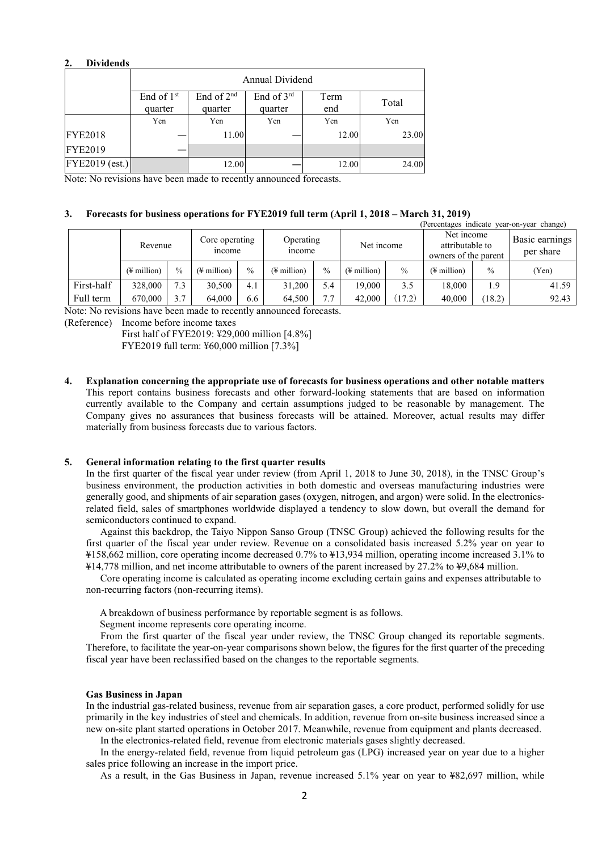#### **2. Dividends**

|                | Annual Dividend         |                                   |                       |             |       |  |  |  |
|----------------|-------------------------|-----------------------------------|-----------------------|-------------|-------|--|--|--|
|                | End of $1st$<br>quarter | End of 2 <sup>nd</sup><br>quarter | End of 3rd<br>quarter | Term<br>end | Total |  |  |  |
|                | Yen                     | Yen                               | Yen                   | Yen         | Yen   |  |  |  |
| <b>FYE2018</b> |                         | 11.00                             |                       | 12.00       | 23.00 |  |  |  |
| <b>FYE2019</b> |                         |                                   |                       |             |       |  |  |  |
| FYE2019 (est.) |                         | 12.00                             |                       | 12.00       | 24.00 |  |  |  |

Note: No revisions have been made to recently announced forecasts.

#### **3. Forecasts for business operations for FYE2019 full term (April 1, 2018 – March 31, 2019)**

| (Percentages indicate year-on-year change) |                         |               |                          |               |                         |               |                         |               |                                                       |               |                                    |
|--------------------------------------------|-------------------------|---------------|--------------------------|---------------|-------------------------|---------------|-------------------------|---------------|-------------------------------------------------------|---------------|------------------------------------|
|                                            | Revenue                 |               | Core operating<br>income |               | Operating<br>mcome      |               | Net income              |               | Net income<br>attributable to<br>owners of the parent |               | <b>Basic earnings</b><br>per share |
|                                            | $(\frac{1}{2})$ million | $\frac{0}{0}$ | $(\frac{1}{2})$ million  | $\frac{0}{0}$ | $(\frac{1}{2})$ million | $\frac{0}{0}$ | $(\frac{1}{2})$ million | $\frac{0}{0}$ | (¥ million)                                           | $\frac{0}{0}$ | (Yen)                              |
| First-half                                 | 328,000                 | 7.3           | 30.500                   | 4.1           | 31.200                  | 5.4           | 19.000                  | 3.5           | 18.000                                                | 1.9           | 41.59                              |
| Full term                                  | 670,000                 | 3.7           | 64.000                   | 6.6           | 64,500                  | 7.7           | 42,000                  | 17.2)         | 40,000                                                | (18.2)        | 92.43                              |

Note: No revisions have been made to recently announced forecasts.

(Reference) Income before income taxes

First half of FYE2019: ¥29,000 million [4.8%] FYE2019 full term: ¥60,000 million [7.3%]

**4. Explanation concerning the appropriate use of forecasts for business operations and other notable matters** This report contains business forecasts and other forward-looking statements that are based on information currently available to the Company and certain assumptions judged to be reasonable by management. The Company gives no assurances that business forecasts will be attained. Moreover, actual results may differ materially from business forecasts due to various factors.

#### **5. General information relating to the first quarter results**

In the first quarter of the fiscal year under review (from April 1, 2018 to June 30, 2018), in the TNSC Group's business environment, the production activities in both domestic and overseas manufacturing industries were generally good, and shipments of air separation gases (oxygen, nitrogen, and argon) were solid. In the electronicsrelated field, sales of smartphones worldwide displayed a tendency to slow down, but overall the demand for semiconductors continued to expand.

Against this backdrop, the Taiyo Nippon Sanso Group (TNSC Group) achieved the following results for the first quarter of the fiscal year under review. Revenue on a consolidated basis increased 5.2% year on year to ¥158,662 million, core operating income decreased 0.7% to ¥13,934 million, operating income increased 3.1% to ¥14,778 million, and net income attributable to owners of the parent increased by 27.2% to ¥9,684 million.

Core operating income is calculated as operating income excluding certain gains and expenses attributable to non-recurring factors (non-recurring items).

A breakdown of business performance by reportable segment is as follows.

Segment income represents core operating income.

From the first quarter of the fiscal year under review, the TNSC Group changed its reportable segments. Therefore, to facilitate the year-on-year comparisons shown below, the figures for the first quarter of the preceding fiscal year have been reclassified based on the changes to the reportable segments.

#### **Gas Business in Japan**

In the industrial gas-related business, revenue from air separation gases, a core product, performed solidly for use primarily in the key industries of steel and chemicals. In addition, revenue from on-site business increased since a new on-site plant started operations in October 2017. Meanwhile, revenue from equipment and plants decreased.

In the electronics-related field, revenue from electronic materials gases slightly decreased.

In the energy-related field, revenue from liquid petroleum gas (LPG) increased year on year due to a higher sales price following an increase in the import price.

As a result, in the Gas Business in Japan, revenue increased 5.1% year on year to ¥82,697 million, while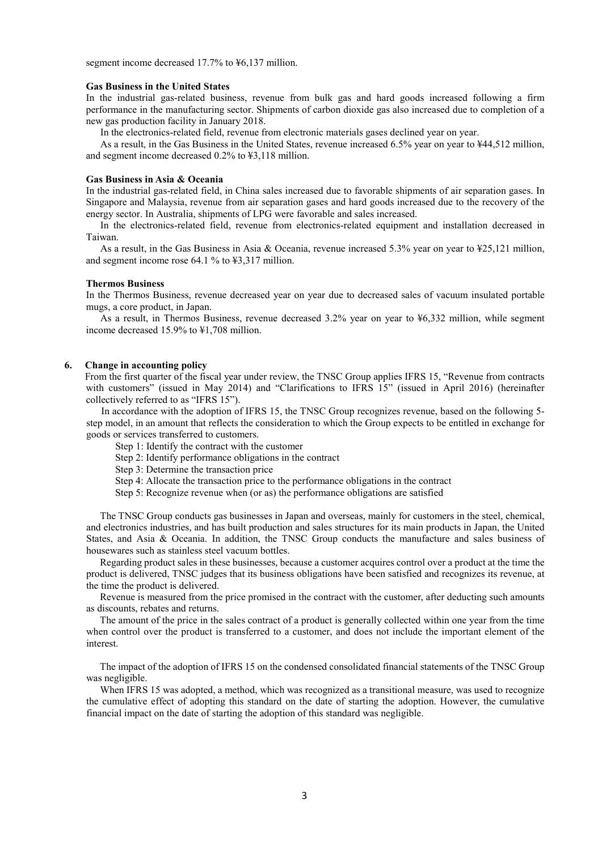segment income decreased 17.7% to  $46,137$  million.

#### **Gas Business in the United States**

In the industrial gas-related business, revenue from bulk gas and hard goods increased following a firm performance in the manufacturing sector. Shipments of carbon dioxide gas also increased due to completion of a new gas production facility in January 2018.

In the electronics-related field, revenue from electronic materials gases declined year on year.

As a result, in the Gas Business in the United States, revenue increased 6.5% year on year to ¥44,512 million, and segment income decreased 0.2% to ¥3,118 million.

#### **Gas Business in Asia & Oceania**

In the industrial gas-related field, in China sales increased due to favorable shipments of air separation gases. In Singapore and Malaysia, revenue from air separation gases and hard goods increased due to the recovery of the energy sector. In Australia, shipments of LPG were favorable and sales increased.

In the electronics-related field, revenue from electronics-related equipment and installation decreased in Taiwan.

As a result, in the Gas Business in Asia & Oceania, revenue increased 5.3% year on year to ¥25,121 million, and segment income rose 64.1 % to ¥3,317 million.

#### **Thermos Business**

In the Thermos Business, revenue decreased year on year due to decreased sales of vacuum insulated portable mugs, a core product, in Japan.

As a result, in Thermos Business, revenue decreased 3.2% year on year to ¥6,332 million, while segment income decreased 15.9% to ¥1,708 million.

#### **6. Change in accounting policy**

 From the first quarter of the fiscal year under review, the TNSC Group applies IFRS 15, "Revenue from contracts with customers" (issued in May 2014) and "Clarifications to IFRS 15" (issued in April 2016) (hereinafter collectively referred to as "IFRS 15").

In accordance with the adoption of IFRS 15, the TNSC Group recognizes revenue, based on the following 5 step model, in an amount that reflects the consideration to which the Group expects to be entitled in exchange for goods or services transferred to customers.

- Step 1: Identify the contract with the customer
- Step 2: Identify performance obligations in the contract
- Step 3: Determine the transaction price
- Step 4: Allocate the transaction price to the performance obligations in the contract
- Step 5: Recognize revenue when (or as) the performance obligations are satisfied

 The TNSC Group conducts gas businesses in Japan and overseas, mainly for customers in the steel, chemical, and electronics industries, and has built production and sales structures for its main products in Japan, the United States, and Asia & Oceania. In addition, the TNSC Group conducts the manufacture and sales business of housewares such as stainless steel vacuum bottles.

Regarding product sales in these businesses, because a customer acquires control over a product at the time the product is delivered, TNSC judges that its business obligations have been satisfied and recognizes its revenue, at the time the product is delivered.

Revenue is measured from the price promised in the contract with the customer, after deducting such amounts as discounts, rebates and returns.

The amount of the price in the sales contract of a product is generally collected within one year from the time when control over the product is transferred to a customer, and does not include the important element of the interest.

The impact of the adoption of IFRS 15 on the condensed consolidated financial statements of the TNSC Group was negligible.

 When IFRS 15 was adopted, a method, which was recognized as a transitional measure, was used to recognize the cumulative effect of adopting this standard on the date of starting the adoption. However, the cumulative financial impact on the date of starting the adoption of this standard was negligible.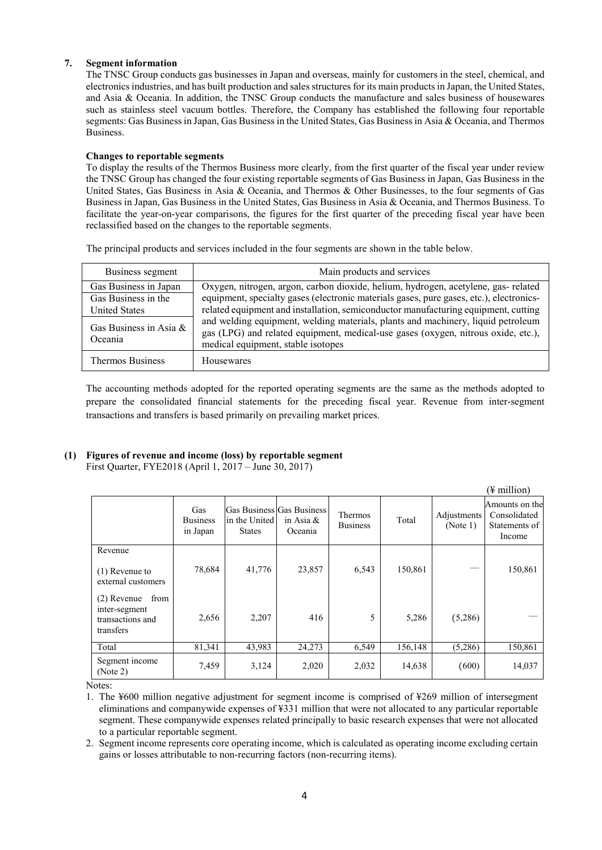# **7. Segment information**

The TNSC Group conducts gas businesses in Japan and overseas, mainly for customers in the steel, chemical, and electronics industries, and has built production and sales structures for its main products in Japan, the United States, and Asia & Oceania. In addition, the TNSC Group conducts the manufacture and sales business of housewares such as stainless steel vacuum bottles. Therefore, the Company has established the following four reportable segments: Gas Business in Japan, Gas Business in the United States, Gas Business in Asia & Oceania, and Thermos Business.

# **Changes to reportable segments**

To display the results of the Thermos Business more clearly, from the first quarter of the fiscal year under review the TNSC Group has changed the four existing reportable segments of Gas Business in Japan, Gas Business in the United States, Gas Business in Asia & Oceania, and Thermos & Other Businesses, to the four segments of Gas Business in Japan, Gas Business in the United States, Gas Business in Asia & Oceania, and Thermos Business. To facilitate the year-on-year comparisons, the figures for the first quarter of the preceding fiscal year have been reclassified based on the changes to the reportable segments.

The principal products and services included in the four segments are shown in the table below.

| Business segment                  | Main products and services                                                                                                                                                                                  |
|-----------------------------------|-------------------------------------------------------------------------------------------------------------------------------------------------------------------------------------------------------------|
| Gas Business in Japan             | Oxygen, nitrogen, argon, carbon dioxide, helium, hydrogen, acetylene, gas-related                                                                                                                           |
| Gas Business in the               | equipment, specialty gases (electronic materials gases, pure gases, etc.), electronics-                                                                                                                     |
| <b>United States</b>              | related equipment and installation, semiconductor manufacturing equipment, cutting                                                                                                                          |
| Gas Business in Asia &<br>Oceania | and welding equipment, welding materials, plants and machinery, liquid petroleum<br>gas (LPG) and related equipment, medical-use gases (oxygen, nitrous oxide, etc.),<br>medical equipment, stable isotopes |
| <b>Thermos Business</b>           | Housewares                                                                                                                                                                                                  |

The accounting methods adopted for the reported operating segments are the same as the methods adopted to prepare the consolidated financial statements for the preceding fiscal year. Revenue from inter-segment transactions and transfers is based primarily on prevailing market prices.

# **(1) Figures of revenue and income (loss) by reportable segment**

First Quarter, FYE2018 (April 1, 2017 – June 30, 2017)

|                                                                         |                                    |                                                             |                         |                            |         |                         | (¥ million)                                               |
|-------------------------------------------------------------------------|------------------------------------|-------------------------------------------------------------|-------------------------|----------------------------|---------|-------------------------|-----------------------------------------------------------|
|                                                                         | Gas<br><b>Business</b><br>in Japan | Gas Business Gas Business<br>in the United<br><b>States</b> | in Asia $\&$<br>Oceania | Thermos<br><b>Business</b> | Total   | Adjustments<br>(Note 1) | Amounts on the<br>Consolidated<br>Statements of<br>Income |
| Revenue                                                                 |                                    |                                                             |                         |                            |         |                         |                                                           |
| $(1)$ Revenue to<br>external customers                                  | 78,684                             | 41,776                                                      | 23,857                  | 6,543                      | 150,861 |                         | 150,861                                                   |
| from<br>$(2)$ Revenue<br>inter-segment<br>transactions and<br>transfers | 2,656                              | 2,207                                                       | 416                     | 5                          | 5,286   | (5,286)                 |                                                           |
| Total                                                                   | 81,341                             | 43,983                                                      | 24,273                  | 6,549                      | 156,148 | (5,286)                 | 150,861                                                   |
| Segment income<br>(Note 2)                                              | 7,459                              | 3,124                                                       | 2,020                   | 2,032                      | 14,638  | (600)                   | 14,037                                                    |

Notes:

1. The ¥600 million negative adjustment for segment income is comprised of ¥269 million of intersegment eliminations and companywide expenses of ¥331 million that were not allocated to any particular reportable segment. These companywide expenses related principally to basic research expenses that were not allocated to a particular reportable segment.

2. Segment income represents core operating income, which is calculated as operating income excluding certain gains or losses attributable to non-recurring factors (non-recurring items).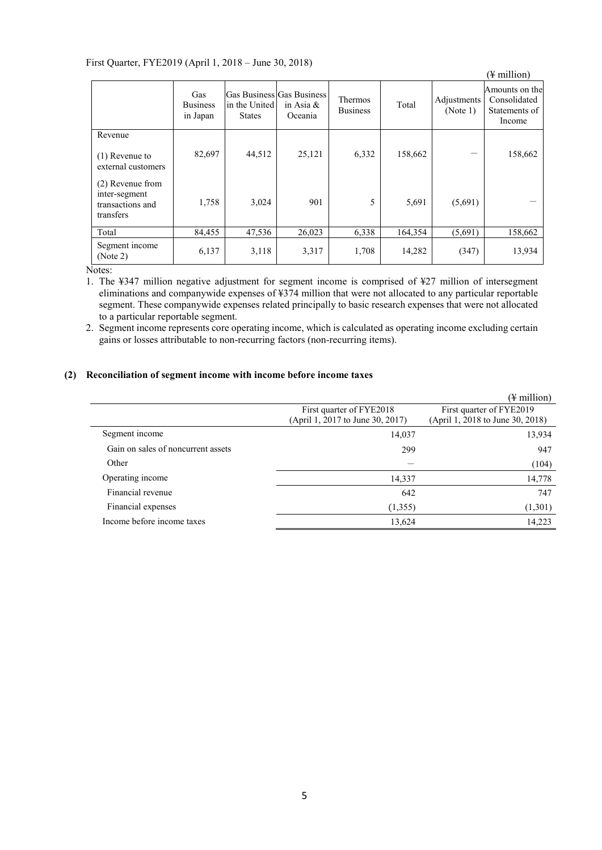# First Quarter, FYE2019 (April 1, 2018 – June 30, 2018)

| $\frac{1}{2}$ and $\frac{1}{2}$ . The state is the state of $\frac{1}{2}$ and $\frac{1}{2}$ and $\frac{1}{2}$ and $\frac{1}{2}$ and $\frac{1}{2}$ and $\frac{1}{2}$ and $\frac{1}{2}$ and $\frac{1}{2}$ and $\frac{1}{2}$ and $\frac{1}{2}$ and $\frac{1}{2}$ and $\frac{1}{2}$ and |                                    |                                |                                                      |                            |         |                         | (¥ million)                                               |
|-------------------------------------------------------------------------------------------------------------------------------------------------------------------------------------------------------------------------------------------------------------------------------------|------------------------------------|--------------------------------|------------------------------------------------------|----------------------------|---------|-------------------------|-----------------------------------------------------------|
|                                                                                                                                                                                                                                                                                     | Gas<br><b>Business</b><br>in Japan | in the United<br><b>States</b> | Gas Business Gas Business<br>in Asia $\&$<br>Oceania | Thermos<br><b>Business</b> | Total   | Adjustments<br>(Note 1) | Amounts on the<br>Consolidated<br>Statements of<br>Income |
| Revenue                                                                                                                                                                                                                                                                             |                                    |                                |                                                      |                            |         |                         |                                                           |
| $(1)$ Revenue to<br>external customers                                                                                                                                                                                                                                              | 82,697                             | 44,512                         | 25,121                                               | 6,332                      | 158,662 |                         | 158,662                                                   |
| (2) Revenue from<br>inter-segment<br>transactions and<br>transfers                                                                                                                                                                                                                  | 1,758                              | 3,024                          | 901                                                  | 5                          | 5,691   | (5,691)                 |                                                           |
| Total                                                                                                                                                                                                                                                                               | 84,455                             | 47,536                         | 26,023                                               | 6,338                      | 164,354 | (5,691)                 | 158,662                                                   |
| Segment income<br>(Note 2)                                                                                                                                                                                                                                                          | 6,137                              | 3,118                          | 3,317                                                | 1,708                      | 14,282  | (347)                   | 13,934                                                    |

Notes:

1. The ¥347 million negative adjustment for segment income is comprised of ¥27 million of intersegment eliminations and companywide expenses of ¥374 million that were not allocated to any particular reportable segment. These companywide expenses related principally to basic research expenses that were not allocated to a particular reportable segment.

2. Segment income represents core operating income, which is calculated as operating income excluding certain gains or losses attributable to non-recurring factors (non-recurring items).

# **(2) Reconciliation of segment income with income before income taxes**

|                                    |                                                              | (¥ million)                                                  |
|------------------------------------|--------------------------------------------------------------|--------------------------------------------------------------|
|                                    | First quarter of FYE2018<br>(April 1, 2017 to June 30, 2017) | First quarter of FYE2019<br>(April 1, 2018 to June 30, 2018) |
| Segment income                     | 14,037                                                       | 13,934                                                       |
| Gain on sales of noncurrent assets | 299                                                          | 947                                                          |
| Other                              |                                                              | (104)                                                        |
| Operating income                   | 14,337                                                       | 14,778                                                       |
| Financial revenue                  | 642                                                          | 747                                                          |
| Financial expenses                 | (1,355)                                                      | (1,301)                                                      |
| Income before income taxes         | 13,624                                                       | 14,223                                                       |